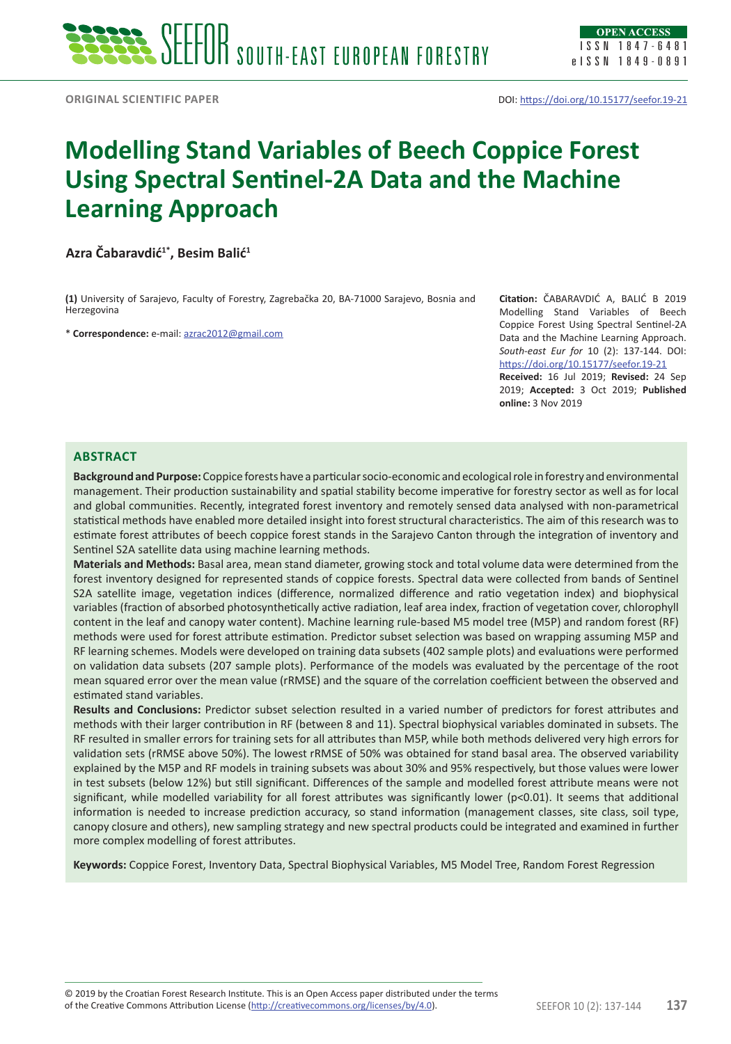# **Modelling Stand Variables of Beech Coppice Forest Using Spectral Sentinel-2A Data and the Machine Learning Approach**

**Azra Čabaravdić1\*, Besim Balić<sup>1</sup>**

**(1)** University of Sarajevo, Faculty of Forestry, Zagrebačka 20, BA-71000 Sarajevo, Bosnia and Herzegovina

\* **Correspondence:** e-mail: [azrac2012@gmail.com](mailto:azrac2012@gmail.com)

**Citation:** ČABARAVDIĆ A, BALIĆ B 2019 Modelling Stand Variables of Beech Coppice Forest Using Spectral Sentinel-2A Data and the Machine Learning Approach. *South-east Eur for* 10 (2): 137-144. DOI: <https://doi.org/10.15177/seefor.19-21> **Received:** 16 Jul 2019; **Revised:** 24 Sep

2019; **Accepted:** 3 Oct 2019; **Published online:** 3 Nov 2019

# **Abstract**

**Background and Purpose:** Coppice forests have a particular socio-economic and ecological role in forestry and environmental management. Their production sustainability and spatial stability become imperative for forestry sector as well as for local and global communities. Recently, integrated forest inventory and remotely sensed data analysed with non-parametrical statistical methods have enabled more detailed insight into forest structural characteristics. The aim of this research was to estimate forest attributes of beech coppice forest stands in the Sarajevo Canton through the integration of inventory and Sentinel S2A satellite data using machine learning methods.

**Materials and Methods:** Basal area, mean stand diameter, growing stock and total volume data were determined from the forest inventory designed for represented stands of coppice forests. Spectral data were collected from bands of Sentinel S2A satellite image, vegetation indices (difference, normalized difference and ratio vegetation index) and biophysical variables (fraction of absorbed photosynthetically active radiation, leaf area index, fraction of vegetation cover, chlorophyll content in the leaf and canopy water content). Machine learning rule-based M5 model tree (M5P) and random forest (RF) methods were used for forest attribute estimation. Predictor subset selection was based on wrapping assuming M5P and RF learning schemes. Models were developed on training data subsets (402 sample plots) and evaluations were performed on validation data subsets (207 sample plots). Performance of the models was evaluated by the percentage of the root mean squared error over the mean value (rRMSE) and the square of the correlation coefficient between the observed and estimated stand variables.

**Results and Conclusions:** Predictor subset selection resulted in a varied number of predictors for forest attributes and methods with their larger contribution in RF (between 8 and 11). Spectral biophysical variables dominated in subsets. The RF resulted in smaller errors for training sets for all attributes than M5P, while both methods delivered very high errors for validation sets (rRMSE above 50%). The lowest rRMSE of 50% was obtained for stand basal area. The observed variability explained by the M5P and RF models in training subsets was about 30% and 95% respectively, but those values were lower in test subsets (below 12%) but still significant. Differences of the sample and modelled forest attribute means were not significant, while modelled variability for all forest attributes was significantly lower (p<0.01). It seems that additional information is needed to increase prediction accuracy, so stand information (management classes, site class, soil type, canopy closure and others), new sampling strategy and new spectral products could be integrated and examined in further more complex modelling of forest attributes.

**Keywords:** Coppice Forest, Inventory Data, Spectral Biophysical Variables, M5 Model Tree, Random Forest Regression

of the Creative Commons Attribution License (<http://creativecommons.org/licenses/by/4.0>). SEEFOR 10 (2): 137-144 **137** © 2019 by the Croatian Forest Research Institute. This is an Open Access paper distributed under the terms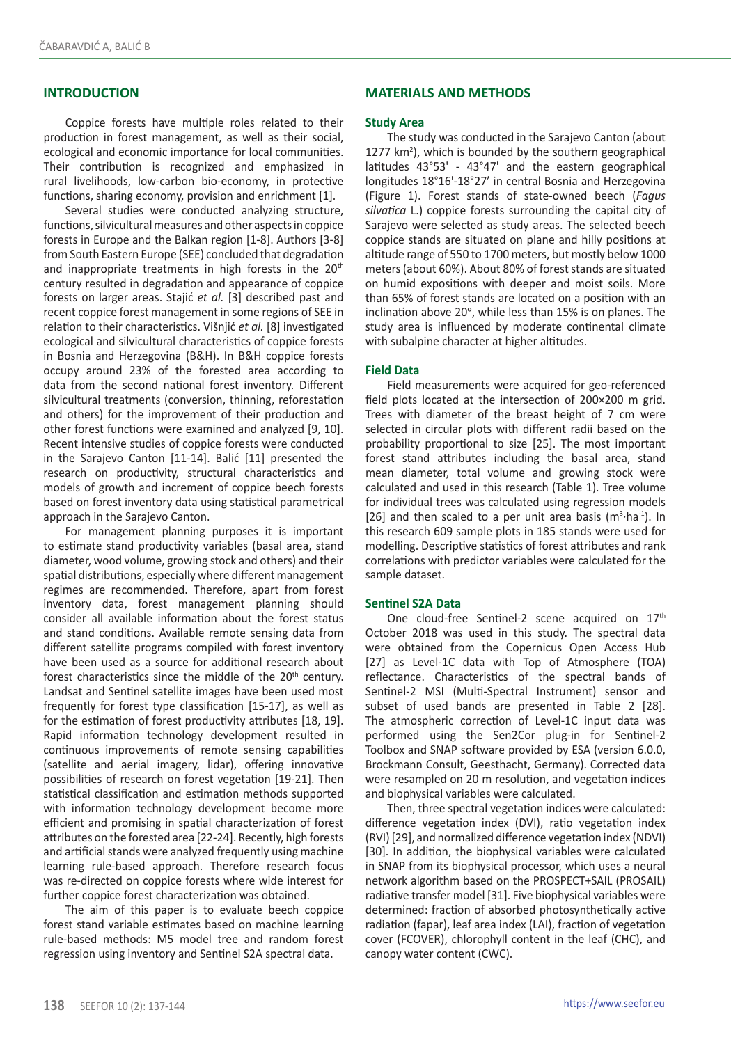# **INTRODUCTION**

Coppice forests have multiple roles related to their production in forest management, as well as their social, ecological and economic importance for local communities. Their contribution is recognized and emphasized in rural livelihoods, low-carbon bio-economy, in protective functions, sharing economy, provision and enrichment [1].

Several studies were conducted analyzing structure, functions, silvicultural measures and other aspects in coppice forests in Europe and the Balkan region [1-8]. Authors [3-8] from South Eastern Europe (SEE) concluded that degradation and inappropriate treatments in high forests in the 20<sup>th</sup> century resulted in degradation and appearance of coppice forests on larger areas. Stajić *et al.* [3] described past and recent coppice forest management in some regions of SEE in relation to their characteristics. Višnjić *et al.* [8] investigated ecological and silvicultural characteristics of coppice forests in Bosnia and Herzegovina (B&H). In B&H coppice forests occupy around 23% of the forested area according to data from the second national forest inventory. Different silvicultural treatments (conversion, thinning, reforestation and others) for the improvement of their production and other forest functions were examined and analyzed [9, 10]. Recent intensive studies of coppice forests were conducted in the Sarajevo Canton [11-14]. Balić [11] presented the research on productivity, structural characteristics and models of growth and increment of coppice beech forests based on forest inventory data using statistical parametrical approach in the Sarajevo Canton.

For management planning purposes it is important to estimate stand productivity variables (basal area, stand diameter, wood volume, growing stock and others) and their spatial distributions, especially where different management regimes are recommended. Therefore, apart from forest inventory data, forest management planning should consider all available information about the forest status and stand conditions. Available remote sensing data from different satellite programs compiled with forest inventory have been used as a source for additional research about forest characteristics since the middle of the 20<sup>th</sup> century. Landsat and Sentinel satellite images have been used most frequently for forest type classification [15-17], as well as for the estimation of forest productivity attributes [18, 19]. Rapid information technology development resulted in continuous improvements of remote sensing capabilities (satellite and aerial imagery, lidar), offering innovative possibilities of research on forest vegetation [19-21]. Then statistical classification and estimation methods supported with information technology development become more efficient and promising in spatial characterization of forest attributes on the forested area [22-24]. Recently, high forests and artificial stands were analyzed frequently using machine learning rule-based approach. Therefore research focus was re-directed on coppice forests where wide interest for further coppice forest characterization was obtained.

The aim of this paper is to evaluate beech coppice forest stand variable estimates based on machine learning rule-based methods: M5 model tree and random forest regression using inventory and Sentinel S2A spectral data.

# **MATERIALS AND METHODS**

#### **Study Area**

The study was conducted in the Sarajevo Canton (about 1277 km<sup>2</sup>), which is bounded by the southern geographical latitudes 43°53' - 43°47' and the eastern geographical longitudes 18°16'-18°27' in central Bosnia and Herzegovina (Figure 1). Forest stands of state-owned beech (*Fagus silvatica* L.) coppice forests surrounding the capital city of Sarajevo were selected as study areas. The selected beech coppice stands are situated on plane and hilly positions at altitude range of 550 to 1700 meters, but mostly below 1000 meters (about 60%). About 80% of forest stands are situated on humid expositions with deeper and moist soils. More than 65% of forest stands are located on a position with an inclination above 20°, while less than 15% is on planes. The study area is influenced by moderate continental climate with subalpine character at higher altitudes.

## **Field Data**

Field measurements were acquired for geo-referenced field plots located at the intersection of 200×200 m grid. Trees with diameter of the breast height of 7 cm were selected in circular plots with different radii based on the probability proportional to size [25]. The most important forest stand attributes including the basal area, stand mean diameter, total volume and growing stock were calculated and used in this research (Table 1). Tree volume for individual trees was calculated using regression models [26] and then scaled to a per unit area basis  $(m^3 \cdot ha^{-1})$ . In this research 609 sample plots in 185 stands were used for modelling. Descriptive statistics of forest attributes and rank correlations with predictor variables were calculated for the sample dataset.

#### **Sentinel S2A Data**

One cloud-free Sentinel-2 scene acquired on 17<sup>th</sup> October 2018 was used in this study. The spectral data were obtained from the Copernicus Open Access Hub [27] as Level-1C data with Top of Atmosphere (TOA) reflectance. Characteristics of the spectral bands of Sentinel-2 MSI (Multi-Spectral Instrument) sensor and subset of used bands are presented in Table 2 [28]. The atmospheric correction of Level-1C input data was performed using the Sen2Cor plug-in for Sentinel-2 Toolbox and SNAP software provided by ESA (version 6.0.0, Brockmann Consult, Geesthacht, Germany). Corrected data were resampled on 20 m resolution, and vegetation indices and biophysical variables were calculated.

Then, three spectral vegetation indices were calculated: difference vegetation index (DVI), ratio vegetation index (RVI) [29], and normalized difference vegetation index (NDVI) [30]. In addition, the biophysical variables were calculated in SNAP from its biophysical processor, which uses a neural network algorithm based on the PROSPECT+SAIL (PROSAIL) radiative transfer model [31]. Five biophysical variables were determined: fraction of absorbed photosynthetically active radiation (fapar), leaf area index (LAI), fraction of vegetation cover (FCOVER), chlorophyll content in the leaf (CHC), and canopy water content (CWC).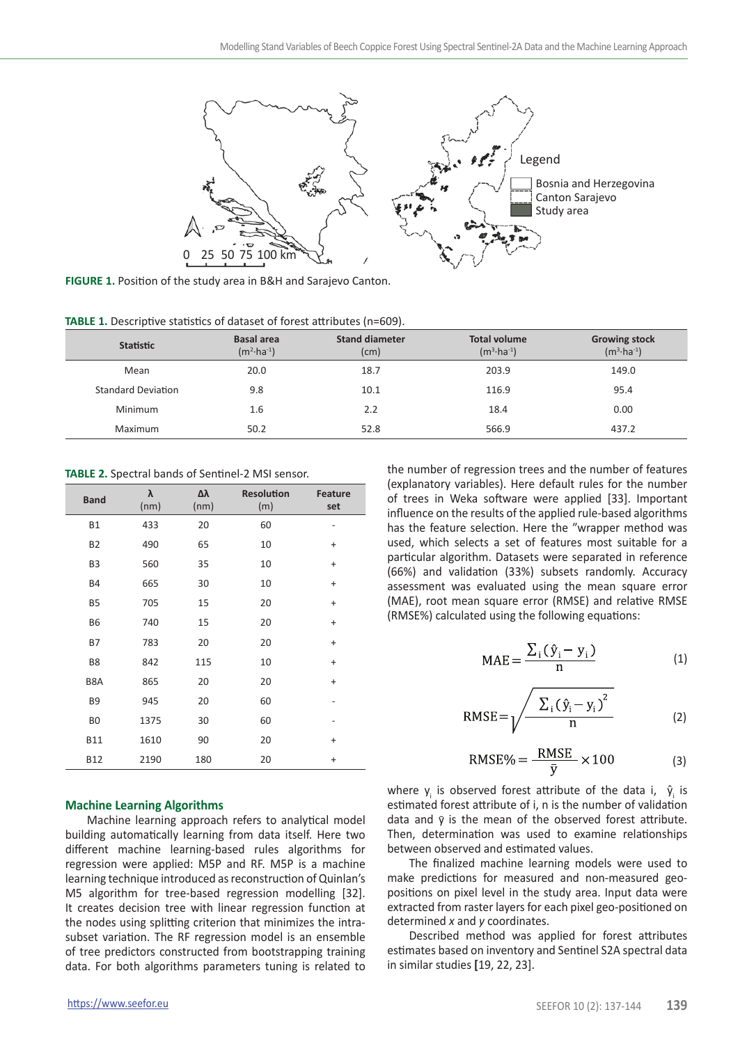

**FIGURE 1.** Position of the study area in B&H and Sarajevo Canton.

| TABLE 1. Descriptive statistics of dataset of forest attributes (n=609). |  |  |  |  |
|--------------------------------------------------------------------------|--|--|--|--|
|--------------------------------------------------------------------------|--|--|--|--|

| <b>Statistic</b>          | <b>Basal area</b><br>$(m^2 \cdot ha^{-1})$ | <b>Stand diameter</b><br>(cm) | <b>Total volume</b><br>$(m^3 \cdot ha^{-1})$ | <b>Growing stock</b><br>$(m^3 \cdot ha^{-1})$ |
|---------------------------|--------------------------------------------|-------------------------------|----------------------------------------------|-----------------------------------------------|
| Mean                      | 20.0                                       | 18.7                          | 203.9                                        | 149.0                                         |
| <b>Standard Deviation</b> | 9.8                                        | 10.1                          | 116.9                                        | 95.4                                          |
| Minimum                   | 1.6                                        | 2.2                           | 18.4                                         | 0.00                                          |
| Maximum                   | 50.2                                       | 52.8                          | 566.9                                        | 437.2                                         |

**TABLE 2.** Spectral bands of Sentinel-2 MSI sensor.

| <b>Band</b>    | λ<br>(nm) | Δλ<br>(nm) | <b>Resolution</b><br>(m) | <b>Feature</b><br>set    |
|----------------|-----------|------------|--------------------------|--------------------------|
| <b>B1</b>      | 433       | 20         | 60                       | $\overline{\phantom{0}}$ |
| <b>B2</b>      | 490       | 65         | 10                       | $\ddot{}$                |
| B <sub>3</sub> | 560       | 35         | 10                       | $\ddot{}$                |
| <b>B4</b>      | 665       | 30         | 10                       | $\ddot{}$                |
| B <sub>5</sub> | 705       | 15         | 20                       | $\ddot{}$                |
| <b>B6</b>      | 740       | 15         | 20                       | $\ddot{}$                |
| <b>B7</b>      | 783       | 20         | 20                       | $\ddot{}$                |
| B <sub>8</sub> | 842       | 115        | 10                       | $\ddot{}$                |
| B8A            | 865       | 20         | 20                       | $\ddot{}$                |
| B <sub>9</sub> | 945       | 20         | 60                       | $\overline{\phantom{0}}$ |
| B <sub>0</sub> | 1375      | 30         | 60                       |                          |
| <b>B11</b>     | 1610      | 90         | 20                       | $\ddot{}$                |
| <b>B12</b>     | 2190      | 180        | 20                       | $\ddot{}$                |

#### **Machine Learning Algorithms**

Machine learning approach refers to analytical model building automatically learning from data itself. Here two different machine learning-based rules algorithms for regression were applied: M5P and RF. M5P is a machine learning technique introduced as reconstruction of Quinlan's M5 algorithm for tree-based regression modelling [32]. It creates decision tree with linear regression function at the nodes using splitting criterion that minimizes the intrasubset variation. The RF regression model is an ensemble of tree predictors constructed from bootstrapping training data. For both algorithms parameters tuning is related to

the number of regression trees and the number of features (explanatory variables). Here default rules for the number of trees in Weka software were applied [33]. Important influence on the results of the applied rule-based algorithms has the feature selection. Here the "wrapper method was used, which selects a set of features most suitable for a particular algorithm. Datasets were separated in reference (66%) and validation (33%) subsets randomly. Accuracy assessment was evaluated using the mean square error (MAE), root mean square error (RMSE) and relative RMSE (RMSE%) calculated using the following equations:

$$
MAE = \frac{\sum_{i} (\hat{y}_i - y_i)}{n}
$$
 (1)

$$
RMSE = \sqrt{\frac{\sum_{i} (\hat{y}_i - y_i)^2}{n}}
$$
 (2)

$$
RMSE\% = \frac{RMSE}{\bar{y}} \times 100\tag{3}
$$

where  $y_i$  is observed forest attribute of the data i,  $\hat{y}_i$  is estimated forest attribute of i, n is the number of validation data and  $\bar{y}$  is the mean of the observed forest attribute. Then, determination was used to examine relationships between observed and estimated values.

The finalized machine learning models were used to make predictions for measured and non-measured geopositions on pixel level in the study area. Input data were extracted from raster layers for each pixel geo-positioned on determined *x* and *y* coordinates.

Described method was applied for forest attributes estimates based on inventory and Sentinel S2A spectral data in similar studies **[**19, 22, 23].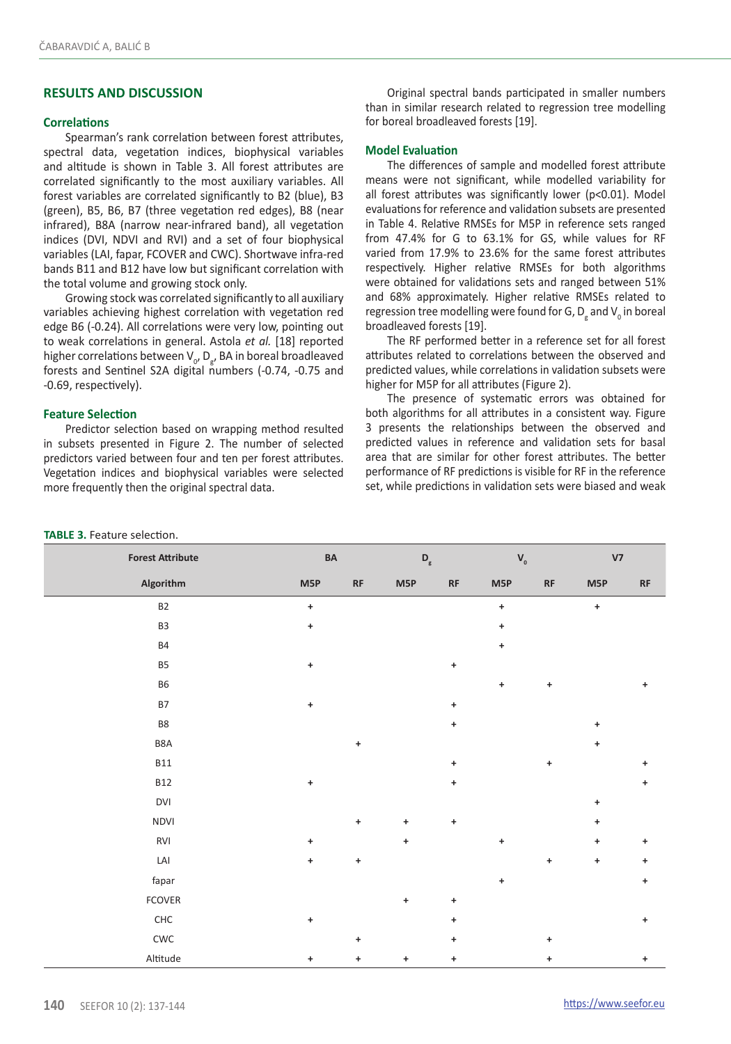# **RESULTS AND DISCUSSION**

### **Correlations**

Spearman's rank correlation between forest attributes, spectral data, vegetation indices, biophysical variables and altitude is shown in Table 3. All forest attributes are correlated significantly to the most auxiliary variables. All forest variables are correlated significantly to B2 (blue), B3 (green), B5, B6, B7 (three vegetation red edges), B8 (near infrared), B8A (narrow near-infrared band), all vegetation indices (DVI, NDVI and RVI) and a set of four biophysical variables (LAI, fapar, FCOVER and CWC). Shortwave infra-red bands B11 and B12 have low but significant correlation with the total volume and growing stock only.

Growing stock was correlated significantly to all auxiliary variables achieving highest correlation with vegetation red edge B6 (-0.24). All correlations were very low, pointing out to weak correlations in general. Astola *et al.* [18] reported higher correlations between  $V_{0'} D_{g'}$  BA in boreal broadleaved forests and Sentinel S2A digital numbers (-0.74, -0.75 and -0.69, respectively).

# **Feature Selection**

Predictor selection based on wrapping method resulted in subsets presented in Figure 2. The number of selected predictors varied between four and ten per forest attributes. Vegetation indices and biophysical variables were selected more frequently then the original spectral data.

Original spectral bands participated in smaller numbers than in similar research related to regression tree modelling for boreal broadleaved forests [19].

## **Model Evaluation**

The differences of sample and modelled forest attribute means were not significant, while modelled variability for all forest attributes was significantly lower (p<0.01). Model evaluations for reference and validation subsets are presented in Table 4. Relative RMSEs for M5P in reference sets ranged from 47.4% for G to 63.1% for GS, while values for RF varied from 17.9% to 23.6% for the same forest attributes respectively. Higher relative RMSEs for both algorithms were obtained for validations sets and ranged between 51% and 68% approximately. Higher relative RMSEs related to regression tree modelling were found for G,  $D_g$  and  $V_o$  in boreal broadleaved forests [19].

The RF performed better in a reference set for all forest attributes related to correlations between the observed and predicted values, while correlations in validation subsets were higher for M5P for all attributes (Figure 2).

The presence of systematic errors was obtained for both algorithms for all attributes in a consistent way. Figure 3 presents the relationships between the observed and predicted values in reference and validation sets for basal area that are similar for other forest attributes. The better performance of RF predictions is visible for RF in the reference set, while predictions in validation sets were biased and weak

| <b>Forest Attribute</b>    | BA                               |                                  | $\mathsf{D}_{_{\mathrm{g}}}$     |                                   | $\mathbf{V}_{_{\mathrm{0}}}$ |                                   | V <sub>7</sub>                   |                                  |
|----------------------------|----------------------------------|----------------------------------|----------------------------------|-----------------------------------|------------------------------|-----------------------------------|----------------------------------|----------------------------------|
| Algorithm                  | M5P                              | RF                               | M5P                              | $\ensuremath{\mathsf{RF}}\xspace$ | M5P                          | $\ensuremath{\mathsf{RF}}\xspace$ | M5P                              | RF                               |
| B <sub>2</sub>             | $\ddot{}$                        |                                  |                                  |                                   | $\ast$                       |                                   | $\begin{array}{c} + \end{array}$ |                                  |
| B <sub>3</sub>             | $\pmb{+}$                        |                                  |                                  |                                   | $\ddot{}$                    |                                   |                                  |                                  |
| <b>B4</b>                  |                                  |                                  |                                  |                                   | $\ddot{}$                    |                                   |                                  |                                  |
| B <sub>5</sub>             | $\begin{array}{c} + \end{array}$ |                                  |                                  | $\begin{array}{c} + \end{array}$  |                              |                                   |                                  |                                  |
| <b>B6</b>                  |                                  |                                  |                                  |                                   | $\ddot{}$                    | $\ddot{}$                         |                                  | $\ddot{}$                        |
| <b>B7</b>                  | $\pmb{+}$                        |                                  |                                  | $\begin{array}{c} + \end{array}$  |                              |                                   |                                  |                                  |
| B8                         |                                  |                                  |                                  | $\begin{array}{c} + \end{array}$  |                              |                                   | $\ddag$                          |                                  |
| B8A                        |                                  | $\pmb{+}$                        |                                  |                                   |                              |                                   | $\ddot{}$                        |                                  |
| <b>B11</b>                 |                                  |                                  |                                  | $\begin{array}{c} + \end{array}$  |                              | $\ddot{}$                         |                                  | +                                |
| <b>B12</b>                 | $\pmb{+}$                        |                                  |                                  | $\begin{array}{c} + \end{array}$  |                              |                                   |                                  | $\pmb{+}$                        |
| <b>DVI</b>                 |                                  |                                  |                                  |                                   |                              |                                   | $\ddot{}$                        |                                  |
| <b>NDVI</b>                |                                  | $\ddot{}$                        | $\ddot{}$                        | $\begin{array}{c} + \end{array}$  |                              |                                   | $\pmb{+}$                        |                                  |
| RVI                        | $\ddot{}$                        |                                  | $\begin{array}{c} + \end{array}$ |                                   | $\ddot{}$                    |                                   | $\ddot{}$                        | $\ddot{}$                        |
| $\ensuremath{\mathsf{LA}}$ | $\pmb{+}$                        | $\ddot{}$                        |                                  |                                   |                              | $\ddot{}$                         | $\pmb{+}$                        | ÷                                |
| fapar                      |                                  |                                  |                                  |                                   | $\ddot{}$                    |                                   |                                  | $\pmb{+}$                        |
| FCOVER                     |                                  |                                  | $\ddot{}$                        | $\begin{array}{c} + \end{array}$  |                              |                                   |                                  |                                  |
| ${\sf CHC}$                | $\begin{array}{c} + \end{array}$ |                                  |                                  | $\ddot{}$                         |                              |                                   |                                  | $\ddot{}$                        |
| $\mathsf{CWC}$             |                                  | $\begin{array}{c} + \end{array}$ |                                  | $\ddot{}$                         |                              | $\ddot{}$                         |                                  |                                  |
| Altitude                   | $\begin{array}{c} + \end{array}$ | $\ddot{}$                        | $\ddot{}$                        | $\begin{array}{c} + \end{array}$  |                              | +                                 |                                  | $\begin{array}{c} + \end{array}$ |

#### **TABLE 3.** Feature selection.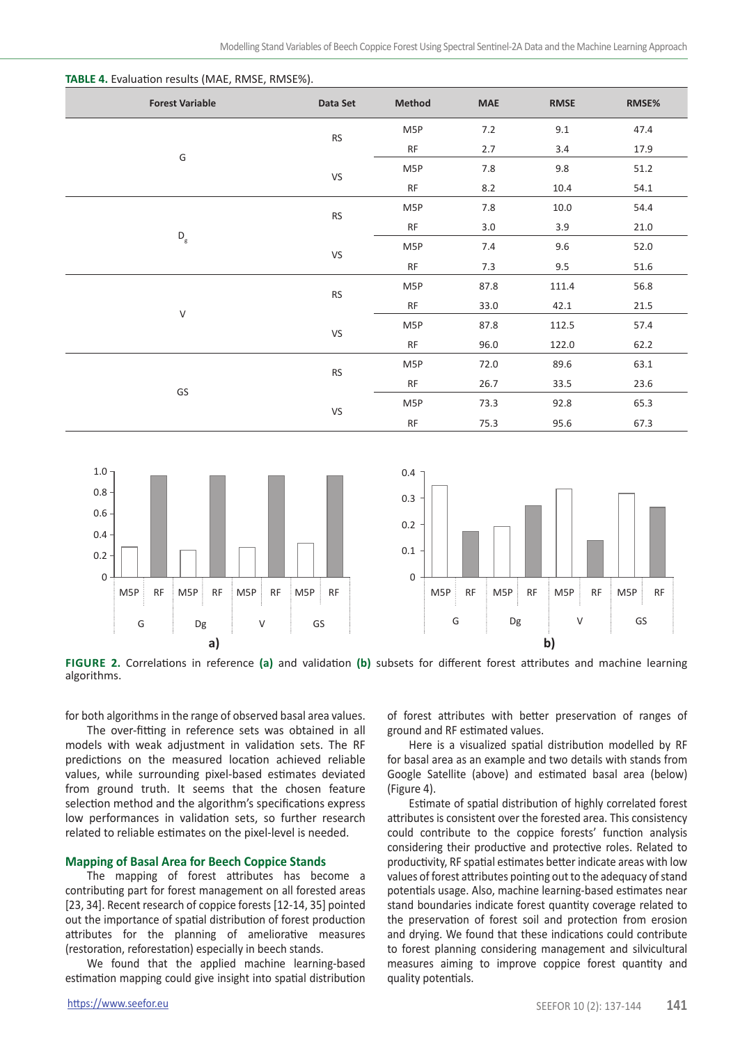| <b>Forest Variable</b>    | Data Set  | Method    | <b>MAE</b> | <b>RMSE</b> | RMSE% |
|---------------------------|-----------|-----------|------------|-------------|-------|
| G                         | <b>RS</b> | M5P       | 7.2        | 9.1         | 47.4  |
|                           |           | RF        | 2.7        | 3.4         | 17.9  |
|                           | VS        | M5P       | 7.8        | 9.8         | 51.2  |
|                           |           | <b>RF</b> | 8.2        | 10.4        | 54.1  |
| $\mathsf{D}_{\mathsf{g}}$ | <b>RS</b> | M5P       | 7.8        | 10.0        | 54.4  |
|                           |           | RF        | 3.0        | 3.9         | 21.0  |
|                           | VS        | M5P       | 7.4        | 9.6         | 52.0  |
|                           |           | RF        | 7.3        | 9.5         | 51.6  |
|                           | <b>RS</b> | M5P       | 87.8       | 111.4       | 56.8  |
| $\sf V$                   |           | <b>RF</b> | 33.0       | 42.1        | 21.5  |
|                           | VS        | M5P       | 87.8       | 112.5       | 57.4  |
|                           |           | <b>RF</b> | 96.0       | 122.0       | 62.2  |
|                           | <b>RS</b> | M5P       | 72.0       | 89.6        | 63.1  |
|                           |           | <b>RF</b> | 26.7       | 33.5        | 23.6  |
| GS                        | VS        | M5P       | 73.3       | 92.8        | 65.3  |
|                           |           | RF        | 75.3       | 95.6        | 67.3  |





**Figure 2.** Correlations in reference **(a)** and validation **(b)** subsets for different forest attributes and machine learning algorithms.

for both algorithms in the range of observed basal area values.

The over-fitting in reference sets was obtained in all models with weak adjustment in validation sets. The RF predictions on the measured location achieved reliable values, while surrounding pixel-based estimates deviated from ground truth. It seems that the chosen feature selection method and the algorithm's specifications express low performances in validation sets, so further research related to reliable estimates on the pixel-level is needed.

#### **Mapping of Basal Area for Beech Coppice Stands**

The mapping of forest attributes has become a contributing part for forest management on all forested areas [23, 34]. Recent research of coppice forests [12-14, 35] pointed out the importance of spatial distribution of forest production attributes for the planning of ameliorative measures (restoration, reforestation) especially in beech stands.

We found that the applied machine learning-based estimation mapping could give insight into spatial distribution

of forest attributes with better preservation of ranges of ground and RF estimated values.

Here is a visualized spatial distribution modelled by RF for basal area as an example and two details with stands from Google Satellite (above) and estimated basal area (below) (Figure 4).

Estimate of spatial distribution of highly correlated forest attributes is consistent over the forested area. This consistency could contribute to the coppice forests' function analysis considering their productive and protective roles. Related to productivity, RF spatial estimates better indicate areas with low values of forest attributes pointing out to the adequacy of stand potentials usage. Also, machine learning-based estimates near stand boundaries indicate forest quantity coverage related to the preservation of forest soil and protection from erosion and drying. We found that these indications could contribute to forest planning considering management and silvicultural measures aiming to improve coppice forest quantity and quality potentials.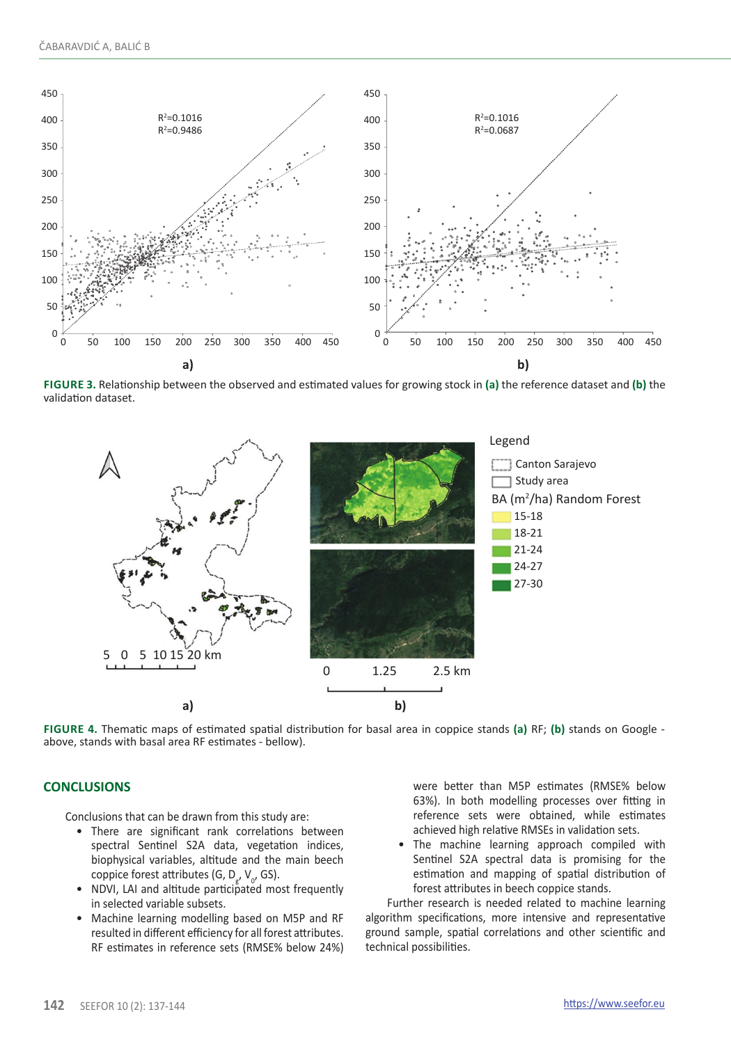

**Figure 3.** Relationship between the observed and estimated values for growing stock in **(a)** the reference dataset and **(b)** the validation dataset.



**Figure 4.** Thematic maps of estimated spatial distribution for basal area in coppice stands **(a)** RF; **(b)** stands on Google above, stands with basal area RF estimates - bellow).

#### **CONCLUSIONS**

Conclusions that can be drawn from this study are:

- There are significant rank correlations between spectral Sentinel S2A data, vegetation indices, biophysical variables, altitude and the main beech coppice forest attributes (G, D<sub>g</sub>, V<sub>0</sub>, GS).
- NDVI, LAI and altitude participated most frequently in selected variable subsets.
- Machine learning modelling based on M5P and RF resulted in different efficiency for all forest attributes. RF estimates in reference sets (RMSE% below 24%)

were better than M5P estimates (RMSE% below 63%). In both modelling processes over fitting in reference sets were obtained, while estimates achieved high relative RMSEs in validation sets.

• The machine learning approach compiled with Sentinel S2A spectral data is promising for the estimation and mapping of spatial distribution of forest attributes in beech coppice stands.

Further research is needed related to machine learning algorithm specifications, more intensive and representative ground sample, spatial correlations and other scientific and technical possibilities.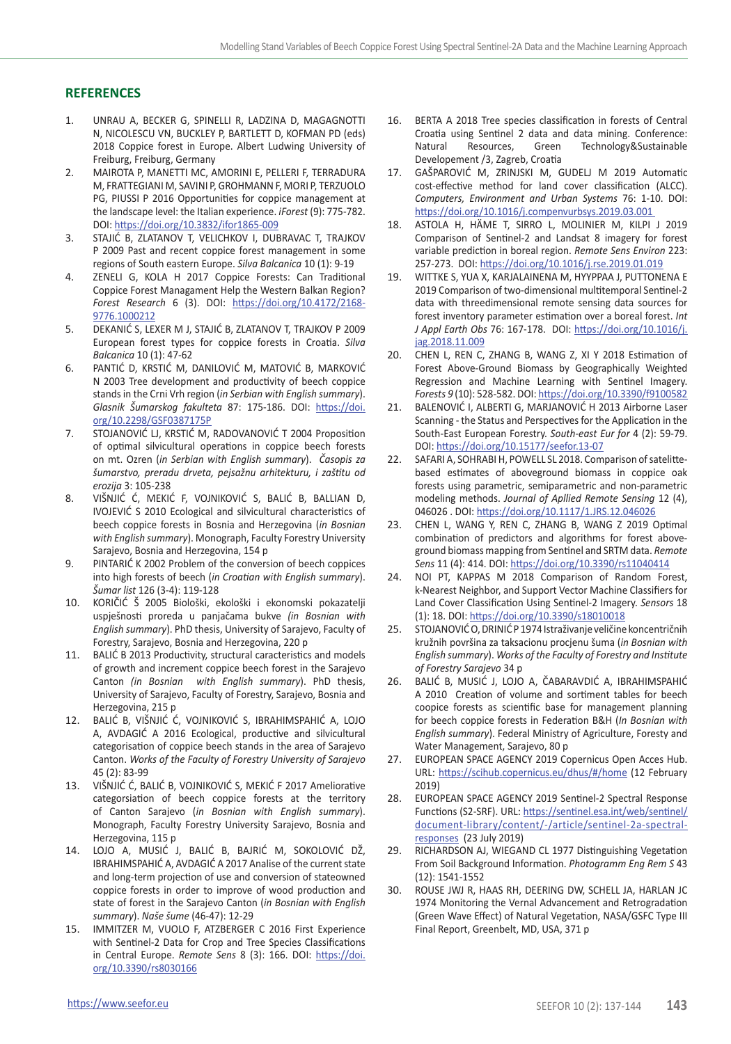# **REFERENCES**

- 1. UNRAU A, BECKER G, SPINELLI R, LADZINA D, MAGAGNOTTI N, NICOLESCU VN, BUCKLEY P, BARTLETT D, KOFMAN PD (eds) 2018 Coppice forest in Europe. Albert Ludwing University of Freiburg, Freiburg, Germany
- 2. MAIROTA P, MANETTI MC, AMORINI E, PELLERI F, TERRADURA M, FRATTEGIANI M, SAVINI P, GROHMANN F, MORI P, TERZUOLO PG, PIUSSI P 2016 Opportunities for coppice management at the landscape level: the Italian experience. *iForest* (9): 775-782. DOI: <https://doi.org/10.3832/ifor1865-009>
- 3. STAJIĆ B, ZLATANOV T, VELICHKOV I, DUBRAVAC T, TRAJKOV P 2009 Past and recent coppice forest management in some regions of South eastern Europe. *Silva Balcanica* 10 (1): 9-19
- 4. ZENELI G, KOLA H 2017 Coppice Forests: Can Traditional Coppice Forest Managament Help the Western Balkan Region? *Forest Research* 6 (3). DOI: [https://doi.org/10.4172/2168-](https://doi.org/10.4172/2168-9776.1000212 ) [9776.1000212](https://doi.org/10.4172/2168-9776.1000212 )
- 5. DEKANIĆ S, LEXER M J, STAJIĆ B, ZLATANOV T, TRAJKOV P 2009 European forest types for coppice forests in Croatia. *Silva Balcanica* 10 (1): 47-62
- 6. PANTIĆ D, KRSTIĆ M, DANILOVIĆ M, MATOVIĆ B, MARKOVIĆ N 2003 Tree development and productivity of beech coppice stands in the Crni Vrh region (*in Serbian with English summary*). *Glasnik Šumarskog fakulteta* 87: 175-186. DOI: [https://doi.](https://doi.org/10.2298/GSF0387175P) [org/10.2298/GSF0387175P](https://doi.org/10.2298/GSF0387175P)
- 7. STOJANOVIĆ LJ, KRSTIĆ M, RADOVANOVIĆ T 2004 Proposition of optimal silvicultural operations in coppice beech forests on mt. Ozren (*in Serbian with English summary*). *Časopis za šumarstvo, preradu drveta, pejsažnu arhitekturu, i zaštitu od erozija* 3: 105-238
- 8. VIŠNJIĆ Ć, MEKIĆ F, VOJNIKOVIĆ S, BALIĆ B, BALLIAN D, IVOJEVIĆ S 2010 Ecological and silvicultural characteristics of beech coppice forests in Bosnia and Herzegovina (*in Bosnian with English summary*). Monograph, Faculty Forestry University Sarajevo, Bosnia and Herzegovina, 154 p
- 9. PINTARIĆ K 2002 Problem of the conversion of beech coppices into high forests of beech (*in Croatian with English summary*). *Šumar list* 126 (3-4): 119-128
- 10. KORIČIĆ Š 2005 Biološki, ekološki i ekonomski pokazatelji uspješnosti proreda u panjačama bukve *(in Bosnian with English summary*). PhD thesis, University of Sarajevo, Faculty of Forestry, Sarajevo, Bosnia and Herzegovina, 220 p
- 11. BALIĆ B 2013 Productivity, structural caracteristics and models of growth and increment coppice beech forest in the Sarajevo Canton *(in Bosnian with English summary*). PhD thesis, University of Sarajevo, Faculty of Forestry, Sarajevo, Bosnia and Herzegovina, 215 p
- 12. BALIĆ B, VIŠNJIĆ Ć, VOJNIKOVIĆ S, IBRAHIMSPAHIĆ A, LOJO A, AVDAGIĆ A 2016 Ecological, productive and silvicultural categorisation of coppice beech stands in the area of Sarajevo Canton. *Works of the Faculty of Forestry University of Sarajevo* [45](http://www.tandfonline.com/loi/tplb20?open=147) (2): 83-99
- 13. VIŠNJIĆ Ć, BALIĆ B, VOJNIKOVIĆ S, MEKIĆ F 2017 Ameliorative categorsiation of beech coppice forests at the territory of Canton Sarajevo (*in Bosnian with English summary*). Monograph, Faculty Forestry University Sarajevo, Bosnia and Herzegovina, 115 p
- 14. LOJO A, MUSIĆ J, BALIĆ B, BAJRIĆ M, SOKOLOVIĆ DŽ, IBRAHIMSPAHIĆ A, AVDAGIĆ A 2017 Analise of the current state and long-term projection of use and conversion of stateowned coppice forests in order to improve of wood production and state of forest in the Sarajevo Canton (*in Bosnian with English summary*). *Naše šume* (46-47): 12-29
- 15. IMMITZER M, VUOLO F, ATZBERGER C 2016 First Experience with Sentinel-2 Data for Crop and Tree Species Classifications in Central Europe. *Remote Sens* 8 (3): 166. DOI: [https://doi.](https://doi.org/10.3390/rs8030166) [org/10.3390/rs8030166](https://doi.org/10.3390/rs8030166)
- 16. BERTA A 2018 Tree species classification in forests of Central Croatia using Sentinel 2 data and data mining. Conference: Natural Resources, Green Technology&Sustainable Developement /3, Zagreb, Croatia
- 17. GAŠPAROVIĆ M, ZRINJSKI M, GUDELJ M 2019 Automatic cost-effective method for land cover classification (ALCC). *Computers, Environment and Urban Systems* 76: 1-10. DOI: <https://doi.org/10.1016/j.compenvurbsys.2019.03.001>
- 18. ASTOLA H, HÄME T, SIRRO L, MOLINIER M, KILPI J 2019 Comparison of Sentinel-2 and Landsat 8 imagery for forest variable prediction in boreal region. *Remote Sens Environ* 223: 257-273. DOI: <https://doi.org/10.1016/j.rse.2019.01.019>
- 19. WITTKE S, YUA X, KARJALAINENA M, HYYPPAA J, PUTTONENA E 2019 Comparison of two-dimensional multitemporal Sentinel-2 data with threedimensional remote sensing data sources for forest inventory parameter estimation over a boreal forest. *Int J Appl Earth Obs* 76: 167-178. DOI: [https://doi.org/10.1016/j.](https://doi.org/10.1016/j.jag.2018.11.009) [jag.2018.11.009](https://doi.org/10.1016/j.jag.2018.11.009)
- 20. CHEN L, REN C, ZHANG B, WANG Z, XI Y 2018 Estimation of Forest Above-Ground Biomass by Geographically Weighted Regression and Machine Learning with Sentinel Imagery. *Forests 9* (10): 528-582. DOI:<https://doi.org/10.3390/f9100582>
- 21. BALENOVIĆ I, ALBERTI G, MARJANOVIĆ H 2013 Airborne Laser Scanning - the Status and Perspectives for the Application in the South-East European Forestry. *South-east Eur for* 4 (2): 59-79. DOI: [https://doi.org/10.15177/seefor.13-07](http://dx.doi.org/10.15177/seefor.13-07)
- 22. SAFARI A, SOHRABI H, POWELL SL 2018. Comparison of satelittebased estimates of aboveground biomass in coppice oak forests using parametric, semiparametric and non-parametric modeling methods. *Journal of Apllied Remote Sensing* 12 (4), 046026 . DOI: <https://doi.org/10.1117/1.JRS.12.046026>
- CHEN L, WANG Y, REN C, ZHANG B, WANG Z 2019 Optimal combination of predictors and algorithms for forest aboveground biomass mapping from Sentinel and SRTM data. *Remote Sens* 11 (4): 414. DOI: <https://doi.org/10.3390/rs11040414>
- 24. NOI PT, KAPPAS M 2018 Comparison of Random Forest, k-Nearest Neighbor, and Support Vector Machine Classifiers for Land Cover Classification Using Sentinel-2 Imagery. *Sensors* 18 (1): 18. DOI:<https://doi.org/10.3390/s18010018>
- 25. STOJANOVIĆ O, DRINIĆ P 1974 Istraživanje veličine koncentričnih kružnih površina za taksacionu procjenu šuma (*in Bosnian with English summary*). *Works of the Faculty of Forestry and Institute of Forestry Sarajevo* 34 p
- 26. BALIĆ B, MUSIĆ J, LOJO A, ČABARAVDIĆ A, IBRAHIMSPAHIĆ A 2010 Creation of volume and sortiment tables for beech coopice forests as scientific base for management planning for beech coppice forests in Federation B&H (*In Bosnian with English summary*). Federal Ministry of Agriculture, Foresty and Water Management, Sarajevo, 80 p
- 27. EUROPEAN SPACE AGENCY 2019 Copernicus Open Acces Hub. URL: <https://scihub.copernicus.eu/dhus/#/home>(12 February 2019)
- 28. EUROPEAN SPACE AGENCY 2019 Sentinel-2 Spectral Response Functions (S2-SRF). URL: [https://sentinel.esa.int/web/sentinel/](https://sentinel.esa.int/web/sentinel/document-library/content/-/article/sentinel-2a-spectral-responses) [document-library/content/-/article/sentinel-2a-spectral](https://sentinel.esa.int/web/sentinel/document-library/content/-/article/sentinel-2a-spectral-responses)[responses](https://sentinel.esa.int/web/sentinel/document-library/content/-/article/sentinel-2a-spectral-responses) (23 July 2019)
- 29. RICHARDSON AJ, WIEGAND CL 1977 Distinguishing Vegetation From Soil Background Information. *Photogramm Eng Rem S* 43 (12): 1541-1552
- 30. ROUSE JWJ R, HAAS RH, DEERING DW, SCHELL JA, HARLAN JC 1974 Monitoring the Vernal Advancement and Retrogradation (Green Wave Effect) of Natural Vegetation, NASA/GSFC Type III Final Report, Greenbelt, MD, USA, 371 p